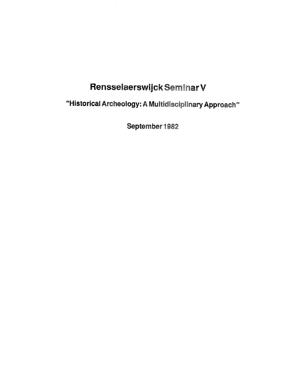## Rensselaerswijck Seminar V

"Historical Archeology: A Multidisciplinary Approach"

September 1982

 $\bar{\gamma}$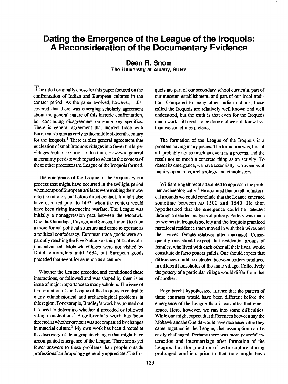## Dating the Emergence of the League of the Iroquois: A Reconsideration of the Docu

## Dean R. Snow The University at Albany, SU

**T** he title I originally chose for this paper focused on the confrontation of Indian and European cultures in the contact period. As the paper evolved, however, I discovered that there was emerging scholarly agreement about the general nature of this historic confrontation, but continuing disagreement on some key specifics. There is general agreement that indirect trade with Europeans began as early as the middle sixteenth century for the Iroquois.<sup>1</sup> There is also general agreement that nucleation of small Iroquois villages into fewer but larger villages took place prior to this time. However, general uncertainty persists with regard to when in the context of these other processes the League of the Iroquois formed.

The emergence of the League of the Iroquois was a process that might have occurred in the twilight period when scraps of European artifacts were making their way into the interior, but before direct contact. It might also have occurred prior to 1492, when the context would have been rising internecine warfare. The League was initially a nonaggression pact between the Mohawk, Oneida, Onondaga, Cayuga, and Seneca. Later it took on a more formal political structure and came to operate as a political confederacy. European trade goods were apparently reaching the Five Nations as this political evolu tion advanced. Mohawk villages were not visited by Dutch chroniclers until 1634, but European goods preceded that event for as much as a century.

Whether the League preceded and conditioned these interactions, or followed and was shaped by them is an issue of major importance to many scholars. The issue of the formation of the League of the Iroquois is central to many ethnohistorical and archaeological problems in this region. For example, Bradley's work has pointed out the need to determine whether it preceded or followed village nucleation.<sup>2</sup> Engelbrecht's work has been directed at whether or not it was accompanied by changes in material culture.3 My own work has been directed at the discovery of demographic changes that might have accompanied emergence of the League. There are as yet fewer answers to these problems than people outside professional anthropology generally appreciate. The Iroquois are part of our secondary school curricula, part of our museum establishment, and part of our local tradition. Compared to many other Indian nations, those called the Iroquois are relatively well known and well understood, but the truth is that even for the Iroquois much work still needs to be done and we still know less than we sometimes pretend.

The formation of the League of the Iroquois is a problem having many pieces. The formation was, fist of all, probably not so much an event as a process, and the result not so much a concrete thing as an activity. To detect its emergence, we have essentially two avenues of inquiry open to us, archaeology and ethnohistory.

William Engelbrecht attempted to approach the problem archaeologically.4 He assumed that on ethnohistorical grounds we could conclude that the League emerged sometime between AD 1500 and 1640. He then hypothesized that the emergence could be detected through a detailed analysis of pottery. Pottery was made by women in Iroquois society and the Iroquois practiced matrilocal residence (men moved in with their wives and their wives' female relatives after marriage). Consequently one should expect that residential groups of females, who lived with each other all their lives, would constitute de facto potters guilds. One should expect that differences could be detected between pottery produced in different households of the same village. Collectively the pottery of a particular village would differ from that of another.

Engelbrecht hypothesized further that the pattern of these contrasts would have been different before the emergence of the League than it was after that emergence. Here, however, we run into some difficulties. While one might expect that differences between say the Mohawk and the Oneida would have decreased after they came together in the League, that assumption can be easily challenged. Perhaps there was more peaceful interaction and intermarriage after formation of the League, but the practice of wife capture during prolonged conflicts prior to that time might have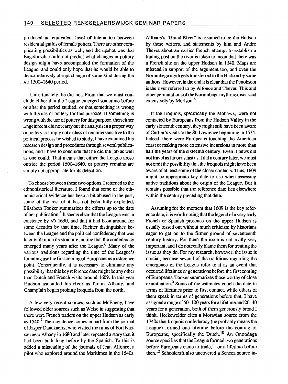produced an equivalent level of interaction between residential guilds of female potters. There are other complicating possibilities as well, and the upshot was that Engelbrecht could not predict what changes in pottery design might have accompanied the formation of the League, and could only hope that he would be able to detect relatively abrupt change of some kind during the AD 1500-1640 period.

Unfortunately, he did not. From that we must conclude either that the League emerged sometime before or after the period studied, or that something is wrong with the use of pottery for this purpose. If something is wrong with the use of pottery for this purpose, then either Engelbrecht did not carry out the analysis in a proper way or pottery is simply not a class of remains sensitive to the political process he wished to study. I have examined his research design and procedures through several publications, and I have to conclude that he did the job as well as one could. That means that either the League arose outside the period 1500-1640, or pottery remains are simply not appropriate for its detection.

To choose between these two options, I returned to the ethnohistorical literature. I found that some of the ethnohistorical evidence has been a bit abused in the past, some of the rest of it has not been fully exploited. Elisabeth Tooker summarizes the efforts up to the date of her publication.<sup>5</sup> It seems clear that the League was in existence by AD 1630, and that it had been around for some decades by that time. Richter distinguishes between the League and the political confederacy that was later built upon its structure, noting that the confederacy emerged many years after the League.<sup>6</sup> Many of the various traditions regarding the time of the League's founding use the first coming of Europeans as a reference point. Consequently, it is necessary to eliminate any possibility that this key reference date might be any other than Dutch and French visits around 1609. In this year Hudson ascended his river as far as Albany, and Champlain began probing Iroquoia from the north.

A few very recent sources, such as McEneny, have followed older sources such as Weise in suggesting that there were French traders on the upper Hudson as early as  $1540$ .<sup>7</sup> Their evidence comes in part from the journal of Jasper Danckaerts, who visited the ruins of Fort Nassau near Albany in 1680 and later repeated a story that it had been built long before by the Spanish. To this is added a misreading of the journals of Jean Alfonce, a pilot who explored around the Maritimes in the 1540s.

Alfonce's "Grand River" is assumed to be the Hudson by these writers, and statements by him and Andre Thevet about an earlier French attempt to establish a trading post on the river is taken to mean that there was a French site on the upper Hudson in 1540. Maps are misread in support of the argument too, and even the Norumbega myth gets transferred to the Hudson by some authors. However, in the end it is clear that the Penobscot is the river referred to by Alfonce and Thevet. This and other permutations of the Norumbega myth are discussed extensively by Morison.<sup>8</sup>

If the Iroquois, specifically the Mohawk, were not contacted by Europeans from the Hudson Valley. in the early sixteenth century, they might still have been aware of Cartier's visits to the St. Lawrence beginning in 1534. Indeed, there were Europeans touching the American coast or making more extensive incursions in more than half the years of the sixteenth century. Even if news did not travel as far or as fast as it did a century later, we must not omit the possibility that the Iroquois might have been aware of at least some of the closer contacts. Thus, 1609 might be appropriate key date to use when assessing native traditions about the origin of the League. But it remains possible that the reference date lies elsewhere within the century preceding that date.

Assuming for the moment that 1609 is the key reference date, it is worth noting that the legend of a very early French or Spanish presence on the upper Hudson is usually tossed out without much criticism by historians eager to get on to the firmer ground of seventeenth century history. For them the issue is not really very important, and I do not really blame them for treating the issue as they do. For my research, however, the issue is crucial, because several of the traditions regarding the emergence of the League refer to it as an event that occurred lifetimes or generations before the first coming of Europeans. Tooker summarizes those worthy of close examination.<sup>9</sup> Some of the estimates couch the date in terms of lifetimes prior to first contact, while others of them speak in terms of generations before that. I have assigned a range of 50-100 years for a lifetime and 20-40 years for a generation, both of them generously broad I think. Heckewelder cites a Moravian source from the 1740s that Iroquois confederacy (he probably means the League) formed one lifetime before the coming of Europeans, specifically the Dutch. $^{10}$  An Onondaga source specifies that the League formed two generations before Europeans came to trade,<sup>11</sup> or a lifetime before then.12 Schoolcraft also uncovered a Seneca source in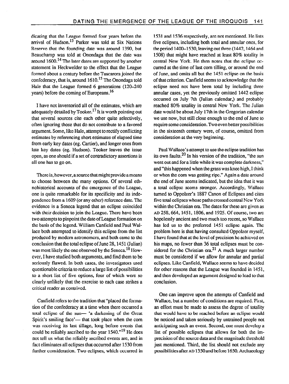dicating that the League formed four years before the arrival of Hudson.<sup>13</sup> Parker was told at Six Nations Reserve that the founding date was around 1390, but Beauchamp was told at Onondaga that the date was around 1600.14 The later dates are supported by another statement in Heckwelder to the effect that the League formed about a century before the Tuscarora joined the confederacy, that is, around  $1610$ <sup>15</sup> The Onondaga told Hale that the League formed 6 generations (120-240 years) before the coming of Europeans.16

I have not inventoried all of the estimates, which are adequately detailed by Tooker.<sup>17</sup> It is worth pointing out that several sources cite each other quite selectively, often ignoring those that do not contribute to a favored argument. Some, like Hale, attempt to rectify conflicting estimates by referencing short estimates of elapsed time from early key dates (eg. Cartier), and longer ones from late key dates (eg. Hudson). Tooker leaves the issue open, as one should if a set of contradictory assertions is all one has to go on.

There is, however, a source that might provide a means to choose between the many options. Of several ethnohistorical accounts of the emergence of the League, one is quite remarkable for its specificity and its independence from a 1609 (or any other) reference date. The evidence is a Seneca legend that an eclipse coincided with their decision to join the League. There have been two attempts to pinpoint the date of League formation on the basis of the legend. William Canfield and Paul Wallace both attempted to identify this eclipse from the list .produced by modem astronomers, and both came to the conclusion that the total eclipse of June 28.1451 (Julian) was most likely the one observed by the Seneca.<sup>18</sup> However, I have studied both arguments, and find them to be seriously flawed. In both cases, the investigators used questionable criteria to reduce a large list of possibilities to a short list of five options, four of which were so clearly unlikely that the exercise to each case strikes a critical reader as contrived.

Canfield refers to the tradition that "placed the formation of the confederacy at a time when there occurred a total eclipse of the sun- 'a darkening of the Great Spirit's smiling face'— that took place when the corn was receiving its last tillage, long before events that could be reliably ascribed to the year  $1540.^{n19}$  He does not tell us what the reliably ascribed events are, and in fact eliminates all eclipses that occurred after 1530 from further consideration. Two eclipses, which occurred in

1531 and 1536 respectively, are not mentioned. He lists five eclipses, including both total and annular ones, for the period  $1400-1530$ , leaving out three (1442, 1464 and 1508) that might have reached at least 80% totality in central New York. He then notes that the eclipse occurred at the time of last corn tilling, or around the end of June, and omits all but the 1451 eclipse on the basis of that criterion. Canfield seems to acknowledge that the eclipse need not have been total by including three annular cases, yet the previously omitted 1442 eclipse occurred on July 7th (Julian calendar,) and probably reached 80% totality in central New York. The Julian date would be about July 17th in the Gregorian calendar we use now, but still close enough to the end of June to require some consideration. Two even better possibilities in the sixteenth century were, of course, omitted from consideration at the very beginning.

Paul Wallace's attempt to use the eclipse tradition has its own faults.<sup>20</sup> In his version of the tradition, "the sun went out and for a little while it was complete darkness," and "this happened when the grass was knee high, I think or when the corn was getting ripe." Again a date around the end of June seems indicated, but the idea that it was a total eclipse seems stronger. Accordingly, Wallace turned to Qppolzer's 1887 Canon of Eclipses and cites five total eclipses whose paths crossed central New York within the Christian era. The dates for these are given as AD 258,664,1451,1806, and 1925. Of course, two are hopelessly ancient and two much too recent, so Wallace has led us to the preferred 1451 eclipse again. The problem here is that having consulted Oppolzer myself, I have found that at the level of precision he achieved on his maps, no fewer than 36 total eclipses must be considered for the Christian era.<sup>21</sup> A much larger number must be considered if we allow for annular and partial eclipses. Like Canfield, Wallace seems to have decided for other reasons that the League was founded in 1451, and then developed an argument designed to lead to that conclusion.

One can improve upon the attempts of Canfield and Wallace, but a number of conditions are required. First, an effort must be made to assess the degree of totality that would have to be reached before an eclipse would be noticed and taken seriously by untrained people not anticipating such an event. Second, one must develop a list of possible eclipses that allows for both the imprecision of the source data and the magnitude threshold just mentioned. Third, the list should not exclude any possibilitiesafter AD 1350andbefore 1650. Archaeology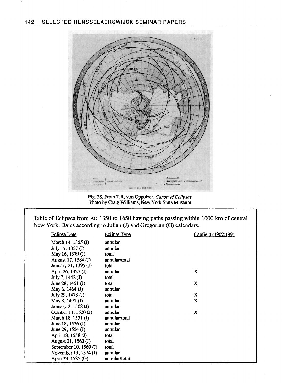

Fig. 28. From T.R. von Oppolzer, *Canon of Eclipses*. Photo by Craig Williams, New York State Museum

Table of Eclipses from AD 1350 to 1650 having paths passing within 1000 km of central New York. Dates according to Julian (J) and Gregorian (G) calendars.

| <b>Eclipse Date</b>    | <u>Eclipse Type</u> | Canfield (1902:199) |
|------------------------|---------------------|---------------------|
| March 14, 1355 (J)     | annular             |                     |
| July 17, 1357 (J)      | annular             |                     |
| May 16, 1379 (J)       | total               |                     |
| August 17, 1384 (J)    | annular/total       |                     |
| January 21, 1395 (J)   | total               |                     |
| April 26, 1427 (J)     | annular             | X                   |
| July 7, 1442 (J)       | total               |                     |
| June 28, $1451$ (J)    | total               | X                   |
| May 6, 1464 (J)        | annular             |                     |
| July 29, 1478 (J)      | total               | X                   |
| May 8, 1491 (J)        | annular             | X                   |
| January 2, 1508 (J)    | annular             |                     |
| October 11, 1520 (J)   | annular             | X                   |
| March 18, 1531 (J)     | annular/total       |                     |
| June 18, 1536 (J)      | annular             |                     |
| June 29, 1554 (J)      | annular             |                     |
| April 18, 1558 (J)     | total               |                     |
| August 21, 1560 (J)    | total               |                     |
| September 10, 1569 (J) | total               |                     |
| November 13, 1574 (J)  | annular             |                     |
| April 29, 1585 (G)     | annular/total       |                     |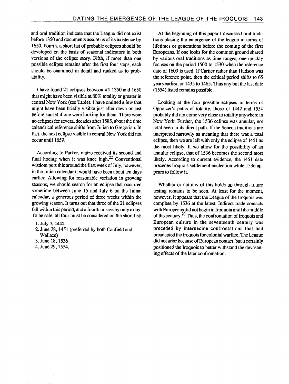and oral tradition indicate that the League did not exist before 1350 and documents assure us of its existence by 1650. Fourth, a short list of probable eclipses should be developed on the basis of seasonal indicators in both versions of the eclipse story. Fifth, if more than one possible eclipse remains after the first four steps, each should be examined in detail and ranked as to probability.

I have found 21 eclipses between AD 1350 and 1650 that might have been visible at 80% totality or greater in central New York (see Table). I have omitted a few that might have been briefly visible just after dawn or just before sunset if one were looking for them. There were no eclipses for several decades after 1585, about the time calendrical reference shifts from Julian to Gregorian. In fact, the next eclipse visible in central New York did not occur until 1659.

According to Parker, maize received its second and final hoeing when it was knee high. $22$  Conventional wisdom puts this around the first week of July, however, in the Julian calendar it would have been about ten days earlier. Allowing for reasonable variation in growing seasons, we should search for an eclipse that occurred sometime between June 15 and July 6 on the Julian calendar, a generous period of three weeks within the growing season. It turns out that three of the 21 eclipses fall within this period, and a fourth misses by only a day. To be safe, all four must be considered on the short list:

- 1. July 7, 1442
- 2. June 28,145l (preferred by both Canfield and Wallace)
- 3. June 18.1536
- 4. June 29,1554.

At the beginning of this paper I discussed oral traditions placing the emergence of the league in terms of lifetimes or generations before the coming of the first Europeans. If one looks for the common ground shared by various oral traditions as time ranges, one quickly focuses on the period 1500 to 1530 when the reference date of 1609 is used. If Cartier rather than Hudson was the reference point, then the critical period shifts to 65 years earlier, or 1435 to 1465. Thus any but the last date (1554) listed remains possible.

Looking at the four possible eclipses in terms of Gppolzer's paths of totality, those of 1442 and 1554 probably did not come very close to totality anywhere in New York. Further, the 1536 eclipse was annular, not total even in its direct path. If the Seneca traditions are interpreted narrowly as meaning that there was a total eclipse, then we are left with only the eclipse of 1451 as the most likely. If we allow for the possibility of an annular eclipse, that of 1536 becomes the second most likely. According to current evidence, the 1451 date precedes Iroquois settlement nucleation while 1536 appears to follow it.

Whether or not any of this holds up through future testing remains to be seen. At least for the moment, however, it appears that the League of the Iroquois was complete by 1536 at the latest. Indirect trade contacts with Europeans did not begin in Iroquoia until the middle of the century.23 Thus, the confrontation of Iroquois and European culture in the seventeenth century was preceded by internecine confrontations that had preadapted the Iroquois for colonial warfare. The League did not arise because of European contact, but it certainly positioned the Iroquois to better withstand the devastating effects of the later confrontation.